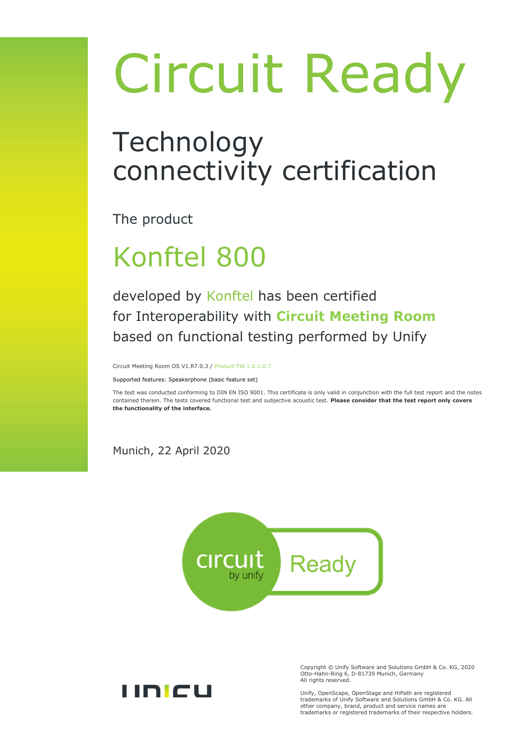# Circuit Ready

## Technology connectivity certification

The product

## Konftel 800

developed by Konftel has been certified for Interoperability with **Circuit Meeting Room** based on functional testing performed by Unify

Circuit Meeting Room OS V1.R7.0.3 / Product FW 1.0.1.0.7

Supported features: Speakerphone (basic feature set)

The test was conducted conforming to DIN EN ISO 9001. This certificate is only valid in conjunction with the full test report and the notes contained therein. The tests covered functional test and subjective acoustic test. **Please consider that the test report only covers the functionality of the interface.**

Munich, 22 April 2020





Copyright © Unify Software and Solutions GmbH & Co. KG, 2020 Otto-Hahn-Ring 6, D-81739 Munich, Germany All rights reserved.

Unify, OpenScape, OpenStage and HiPath are registered trademarks of Unify Software and Solutions GmbH & Co. KG. All other company, brand, product and service names are trademarks or registered trademarks of their respective holders.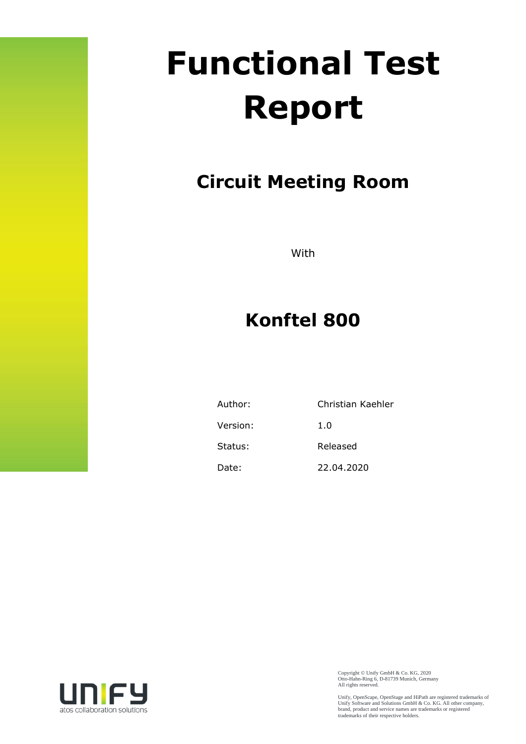## **Functional Test Report**

## **Circuit Meeting Room**

With

### **Konftel 800**

| Author:  | Christian Kaehler |
|----------|-------------------|
| Version: | 1.0               |
| Status:  | Released          |
| Date:    | 22.04.2020        |



Copyright © Unify GmbH & Co. KG, 2020 Otto-Hahn-Ring 6, D-81739 Munich, Germany All rights reserved.

Unify, OpenScape, OpenStage and HiPath are registered trademarks of Unify Software and Solutions GmbH & Co. KG. All other company, brand, product and service names are trademarks or registered trademarks of their respective holders.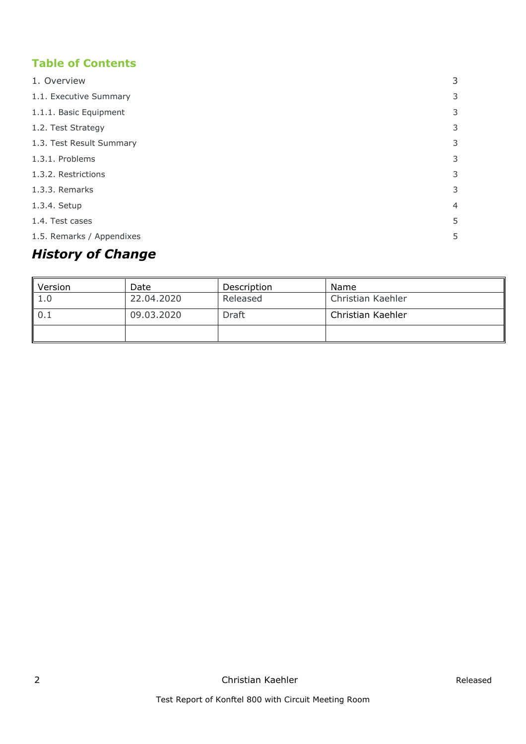#### **Table of Contents**

| 1. Overview               | 3              |
|---------------------------|----------------|
| 1.1. Executive Summary    | 3              |
| 1.1.1. Basic Equipment    | 3              |
| 1.2. Test Strategy        | 3              |
| 1.3. Test Result Summary  | 3              |
| 1.3.1. Problems           | 3              |
| 1.3.2. Restrictions       | 3              |
| 1.3.3. Remarks            | 3              |
| 1.3.4. Setup              | $\overline{4}$ |
| 1.4. Test cases           | 5              |
| 1.5. Remarks / Appendixes | 5              |

#### *History of Change*

| Version | Date       | Description | Name              |
|---------|------------|-------------|-------------------|
| 1.0     | 22.04.2020 | Released    | Christian Kaehler |
| 10.1    | 09.03.2020 | Draft       | Christian Kaehler |
|         |            |             |                   |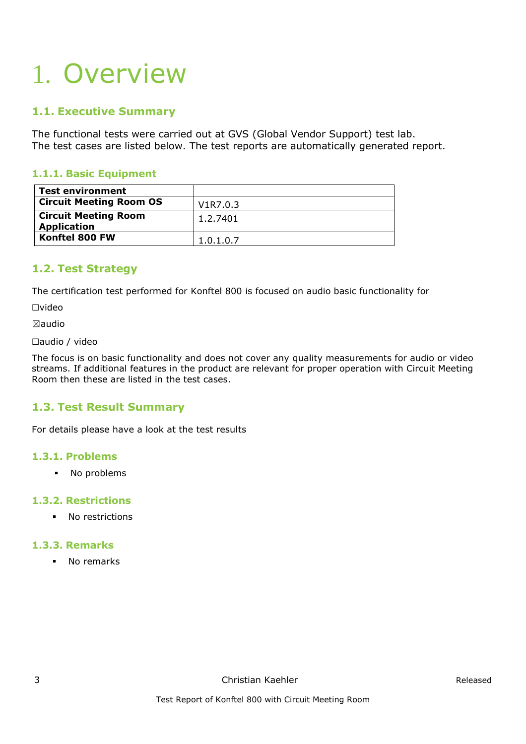## <span id="page-3-0"></span>1. Overview

#### <span id="page-3-1"></span>**1.1. Executive Summary**

The functional tests were carried out at GVS (Global Vendor Support) test lab. The test cases are listed below. The test reports are automatically generated report.

#### <span id="page-3-2"></span>**1.1.1. Basic Equipment**

| <b>Test environment</b>        |           |
|--------------------------------|-----------|
| <b>Circuit Meeting Room OS</b> | V1R7.0.3  |
| <b>Circuit Meeting Room</b>    | 1.2.7401  |
| <b>Application</b>             |           |
| Konftel 800 FW                 | 1.0.1.0.7 |

#### <span id="page-3-3"></span>**1.2. Test Strategy**

The certification test performed for Konftel 800 is focused on audio basic functionality for

☐video

☒audio

☐audio / video

The focus is on basic functionality and does not cover any quality measurements for audio or video streams. If additional features in the product are relevant for proper operation with Circuit Meeting Room then these are listed in the test cases.

#### <span id="page-3-4"></span>**1.3. Test Result Summary**

For details please have a look at the test results

#### <span id="page-3-5"></span>**1.3.1. Problems**

▪ No problems

#### <span id="page-3-6"></span>**1.3.2. Restrictions**

▪ No restrictions

#### <span id="page-3-7"></span>**1.3.3. Remarks**

▪ No remarks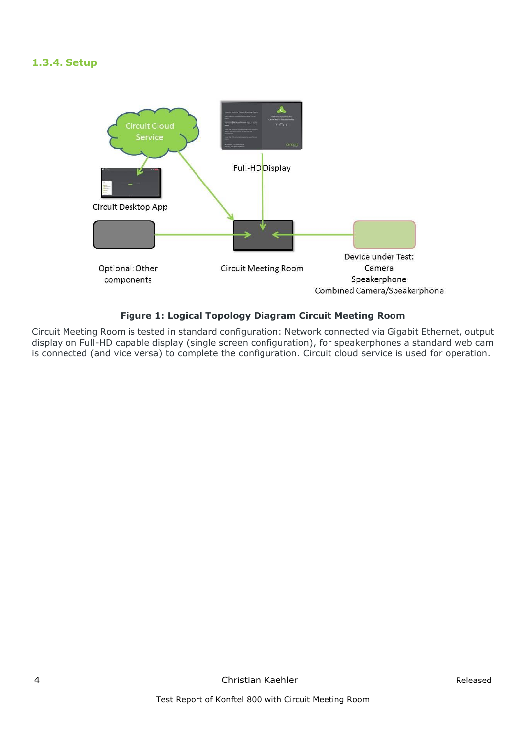#### <span id="page-4-0"></span>**1.3.4. Setup**



#### **Figure 1: Logical Topology Diagram Circuit Meeting Room**

Circuit Meeting Room is tested in standard configuration: Network connected via Gigabit Ethernet, output display on Full-HD capable display (single screen configuration), for speakerphones a standard web cam is connected (and vice versa) to complete the configuration. Circuit cloud service is used for operation.